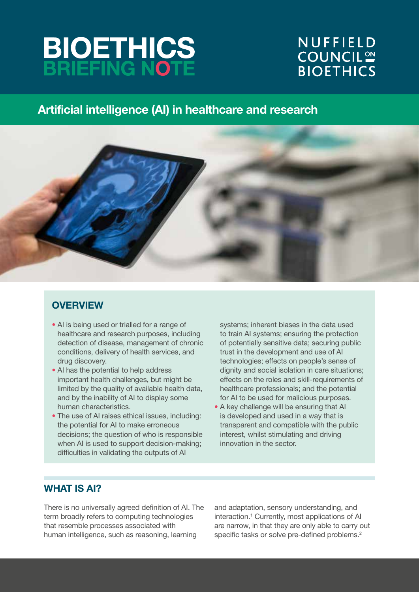# **BIOETHICS**<br>BRIEFING NOTE

# NUFFIELD **COUNCIL<sup>ON</sup> BIOETHICS**

# Artificial intelligence (AI) in healthcare and research



# **OVERVIEW**

- AI is being used or trialled for a range of healthcare and research purposes, including detection of disease, management of chronic conditions, delivery of health services, and drug discovery.
- AI has the potential to help address important health challenges, but might be limited by the quality of available health data, and by the inability of AI to display some human characteristics.
- The use of AI raises ethical issues, including: the potential for AI to make erroneous decisions; the question of who is responsible when AI is used to support decision-making; difficulties in validating the outputs of AI

systems; inherent biases in the data used to train AI systems; ensuring the protection of potentially sensitive data; securing public trust in the development and use of AI technologies; effects on people's sense of dignity and social isolation in care situations; effects on the roles and skill-requirements of healthcare professionals; and the potential for AI to be used for malicious purposes.

• A key challenge will be ensuring that AI is developed and used in a way that is transparent and compatible with the public interest, whilst stimulating and driving innovation in the sector.

# WHAT IS AI?

There is no universally agreed definition of AI. The term broadly refers to computing technologies that resemble processes associated with human intelligence, such as reasoning, learning

and adaptation, sensory understanding, and interaction.<sup>1</sup> Currently, most applications of AI are narrow, in that they are only able to carry out specific tasks or solve pre-defined problems.<sup>2</sup>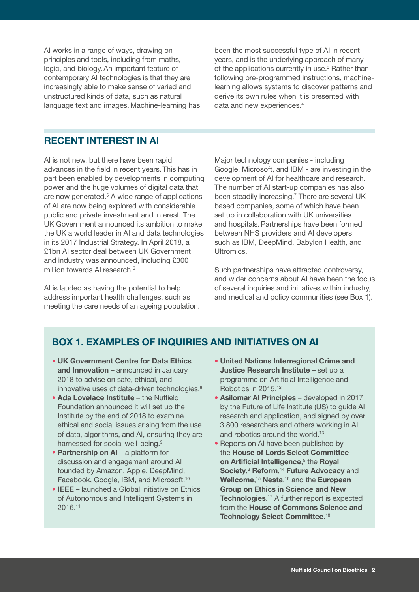AI works in a range of ways, drawing on principles and tools, including from maths, logic, and biology.An important feature of contemporary AI technologies is that they are increasingly able to make sense of varied and unstructured kinds of data, such as natural language text and images. Machine-learning has

been the most successful type of AI in recent years, and is the underlying approach of many of the applications currently in use.<sup>3</sup> Rather than following pre-programmed instructions, machinelearning allows systems to discover patterns and derive its own rules when it is presented with data and new experiences.<sup>4</sup>

## RECENT INTEREST IN AI

AI is not new, but there have been rapid advances in the field in recent years. This has in part been enabled by developments in computing power and the huge volumes of digital data that are now generated.<sup>5</sup> A wide range of applications of AI are now being explored with considerable public and private investment and interest. The UK Government announced its ambition to make the UK a world leader in AI and data technologies in its 2017 Industrial Strategy. In April 2018, a £1bn AI sector deal between UK Government and industry was announced, including £300 million towards AI research.<sup>6</sup>

AI is lauded as having the potential to help address important health challenges, such as meeting the care needs of an ageing population. Major technology companies - including Google, Microsoft, and IBM - are investing in the development of AI for healthcare and research. The number of AI start-up companies has also been steadily increasing.<sup>7</sup> There are several UKbased companies, some of which have been set up in collaboration with UK universities and hospitals.Partnerships have been formed between NHS providers and AI developers such as IBM, DeepMind, Babylon Health, and Ultromics.

Such partnerships have attracted controversy, and wider concerns about AI have been the focus of several inquiries and initiatives within industry, and medical and policy communities (see Box 1).

# BOX 1. EXAMPLES OF INQUIRIES AND INITIATIVES ON AI

- UK Government Centre for Data Ethics and Innovation – announced in January 2018 to advise on safe, ethical, and innovative uses of data-driven technologies.<sup>8</sup>
- Ada Lovelace Institute the Nuffield Foundation announced it will set up the Institute by the end of 2018 to examine ethical and social issues arising from the use of data, algorithms, and AI, ensuring they are harnessed for social well-being.<sup>9</sup>
- Partnership on AI a platform for discussion and engagement around AI founded by Amazon, Apple, DeepMind, Facebook, Google, IBM, and Microsoft.10
- IEEE launched a Global Initiative on Ethics of Autonomous and Intelligent Systems in 2016.11
- United Nations Interregional Crime and Justice Research Institute – set up a programme on Artificial Intelligence and Robotics in 2015.12
- Asilomar AI Principles developed in 2017 by the Future of Life Institute (US) to guide AI research and application, and signed by over 3,800 researchers and others working in AI and robotics around the world.<sup>13</sup>
- Reports on AI have been published by the House of Lords Select Committee on Artificial Intelligence,<sup>5</sup> the Royal Society,<sup>3</sup> Reform,<sup>14</sup> Future Advocacy and Wellcome,<sup>15</sup> Nesta,<sup>16</sup> and the European Group on Ethics in Science and New Technologies.<sup>17</sup> A further report is expected from the House of Commons Science and Technology Select Committee.<sup>18</sup>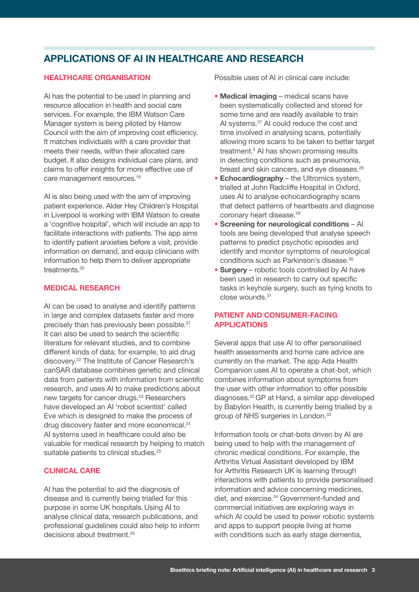# APPLICATIONS OF AI IN HEALTHCARE AND RESEARCH

## HEALTHCARE ORGANISATION

AI has the potential to be used in planning and resource allocation in health and social care services. For example, the IBM Watson Care Manager system is being piloted by Harrow Council with the aim of improving cost efficiency. It matches individuals with a care provider that meets their needs, within their allocated care budget. It also designs individual care plans, and claims to offer insights for more effective use of care management resources.19

AI is also being used with the aim of improving patient experience. Alder Hey Children's Hospital in Liverpool is working with IBM Watson to create a 'cognitive hospital', which will include an app to facilitate interactions with patients. The app aims to identify patient anxieties before a visit, provide information on demand, and equip clinicians with information to help them to deliver appropriate treatments.<sup>20</sup>

### MEDICAL RESEARCH

AI can be used to analyse and identify patterns in large and complex datasets faster and more precisely than has previously been possible.21 It can also be used to search the scientific literature for relevant studies, and to combine different kinds of data; for example, to aid drug discovery.22 The Institute of Cancer Research's canSAR database combines genetic and clinical data from patients with information from scientific research, and uses AI to make predictions about new targets for cancer drugs.<sup>23</sup> Researchers have developed an AI 'robot scientist' called Eve which is designed to make the process of drug discovery faster and more economical.<sup>24</sup> AI systems used in healthcare could also be valuable for medical research by helping to match suitable patients to clinical studies.<sup>25</sup>

### CLINICAL CARE

AI has the potential to aid the diagnosis of disease and is currently being trialled for this purpose in some UK hospitals. Using AI to analyse clinical data, research publications, and professional guidelines could also help to inform decisions about treatment.<sup>26</sup>

Possible uses of AI in clinical care include:

- Medical imaging medical scans have been systematically collected and stored for some time and are readily available to train AI systems.<sup>27</sup> AI could reduce the cost and time involved in analysing scans, potentially allowing more scans to be taken to better target treatment.5 AI has shown promising results in detecting conditions such as pneumonia, breast and skin cancers, and eye diseases.<sup>28</sup>
- Echocardiography the Ultromics system, trialled at John Radcliffe Hospital in Oxford, uses AI to analyse echocardiography scans that detect patterns of heartbeats and diagnose coronary heart disease.<sup>29</sup>
- Screening for neurological conditions AI tools are being developed that analyse speech patterns to predict psychotic episodes and identify and monitor symptoms of neurological conditions such as Parkinson's disease.30
- Surgery robotic tools controlled by AI have been used in research to carry out specific tasks in keyhole surgery, such as tying knots to close wounds.31

## PATIENT AND CONSUMER-FACING APPLICATIONS

Several apps that use AI to offer personalised health assessments and home care advice are currently on the market. The app Ada Health Companion uses AI to operate a chat-bot, which combines information about symptoms from the user with other information to offer possible diagnoses.32 GP at Hand, a similar app developed by Babylon Health, is currently being trialled by a group of NHS surgeries in London.<sup>33</sup>

Information tools or chat-bots driven by AI are being used to help with the management of chronic medical conditions. For example, the Arthritis Virtual Assistant developed by IBM for Arthritis Research UK is learning through interactions with patients to provide personalised information and advice concerning medicines, diet, and exercise.34 Government-funded and commercial initiatives are exploring ways in which AI could be used to power robotic systems and apps to support people living at home with conditions such as early stage dementia,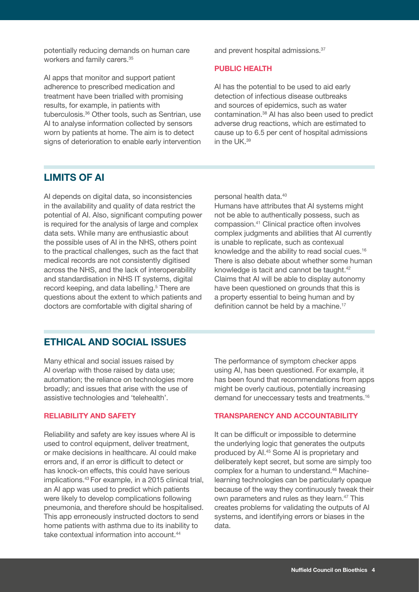potentially reducing demands on human care workers and family carers.<sup>35</sup>

AI apps that monitor and support patient adherence to prescribed medication and treatment have been trialled with promising results, for example, in patients with tuberculosis.36 Other tools, such as Sentrian, use AI to analyse information collected by sensors worn by patients at home. The aim is to detect signs of deterioration to enable early intervention

and prevent hospital admissions.37

#### PUBLIC HEALTH

AI has the potential to be used to aid early detection of infectious disease outbreaks and sources of epidemics, such as water contamination.38 AI has also been used to predict adverse drug reactions, which are estimated to cause up to 6.5 per cent of hospital admissions in the UK.39

# LIMITS OF AI

AI depends on digital data, so inconsistencies in the availability and quality of data restrict the potential of AI. Also, significant computing power is required for the analysis of large and complex data sets. While many are enthusiastic about the possible uses of AI in the NHS, others point to the practical challenges, such as the fact that medical records are not consistently digitised across the NHS, and the lack of interoperability and standardisation in NHS IT systems, digital record keeping, and data labelling.<sup>5</sup> There are questions about the extent to which patients and doctors are comfortable with digital sharing of

personal health data.40

Humans have attributes that AI systems might not be able to authentically possess, such as compassion.41 Clinical practice often involves complex judgments and abilities that AI currently is unable to replicate, such as contexual knowledge and the ability to read social cues.<sup>16</sup> There is also debate about whether some human knowledge is tacit and cannot be taught.42 Claims that AI will be able to display autonomy have been questioned on grounds that this is a property essential to being human and by definition cannot be held by a machine.<sup>17</sup>

## ETHICAL AND SOCIAL ISSUES

Many ethical and social issues raised by AI overlap with those raised by data use; automation; the reliance on technologies more broadly; and issues that arise with the use of assistive technologies and 'telehealth'.

#### RELIABILITY AND SAFETY

Reliability and safety are key issues where AI is used to control equipment, deliver treatment, or make decisions in healthcare. AI could make errors and, if an error is difficult to detect or has knock-on effects, this could have serious implications.43 For example, in a 2015 clinical trial, an AI app was used to predict which patients were likely to develop complications following pneumonia, and therefore should be hospitalised. This app erroneously instructed doctors to send home patients with asthma due to its inability to take contextual information into account.<sup>44</sup>

The performance of symptom checker apps using AI, has been questioned. For example, it has been found that recommendations from apps might be overly cautious, potentially increasing demand for uneccessary tests and treatments.16

#### TRANSPARENCY AND ACCOUNTABILITY

It can be difficult or impossible to determine the underlying logic that generates the outputs produced by AI.45 Some AI is proprietary and deliberately kept secret, but some are simply too complex for a human to understand.<sup>46</sup> Machinelearning technologies can be particularly opaque because of the way they continuously tweak their own parameters and rules as they learn.<sup>47</sup> This creates problems for validating the outputs of AI systems, and identifying errors or biases in the data.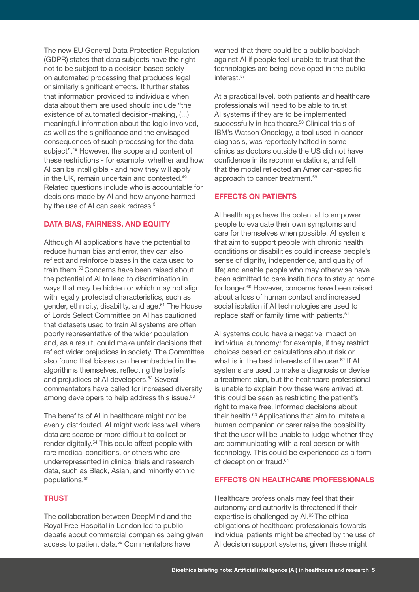The new EU General Data Protection Regulation (GDPR) states that data subjects have the right not to be subject to a decision based solely on automated processing that produces legal or similarly significant effects. It further states that information provided to individuals when data about them are used should include "the existence of automated decision-making, (...) meaningful information about the logic involved, as well as the significance and the envisaged consequences of such processing for the data subject".48 However, the scope and content of these restrictions - for example, whether and how AI can be intelligible - and how they will apply in the UK, remain uncertain and contested.<sup>49</sup> Related questions include who is accountable for decisions made by AI and how anyone harmed by the use of AI can seek redress.<sup>3</sup>

### DATA BIAS, FAIRNESS, AND EQUITY

Although AI applications have the potential to reduce human bias and error, they can also reflect and reinforce biases in the data used to train them.50 Concerns have been raised about the potential of AI to lead to discrimination in ways that may be hidden or which may not align with legally protected characteristics, such as gender, ethnicity, disability, and age.<sup>51</sup> The House of Lords Select Committee on AI has cautioned that datasets used to train AI systems are often poorly representative of the wider population and, as a result, could make unfair decisions that reflect wider prejudices in society. The Committee also found that biases can be embedded in the algorithms themselves, reflecting the beliefs and prejudices of AI developers.<sup>52</sup> Several commentators have called for increased diversity among developers to help address this issue.<sup>53</sup>

The benefits of AI in healthcare might not be evenly distributed. AI might work less well where data are scarce or more difficult to collect or render digitally.54 This could affect people with rare medical conditions, or others who are underrepresented in clinical trials and research data, such as Black, Asian, and minority ethnic populations.<sup>55</sup>

## **TRUST**

The collaboration between DeepMind and the Royal Free Hospital in London led to public debate about commercial companies being given access to patient data.<sup>56</sup> Commentators have

warned that there could be a public backlash against AI if people feel unable to trust that the technologies are being developed in the public interest.<sup>57</sup>

At a practical level, both patients and healthcare professionals will need to be able to trust AI systems if they are to be implemented successfully in healthcare.<sup>58</sup> Clinical trials of IBM's Watson Oncology, a tool used in cancer diagnosis, was reportedly halted in some clinics as doctors outside the US did not have confidence in its recommendations, and felt that the model reflected an American-specific approach to cancer treatment.<sup>59</sup>

#### EFFECTS ON PATIENTS

AI health apps have the potential to empower people to evaluate their own symptoms and care for themselves when possible. AI systems that aim to support people with chronic health conditions or disabilities could increase people's sense of dignity, independence, and quality of life; and enable people who may otherwise have been admitted to care institutions to stay at home for longer.60 However, concerns have been raised about a loss of human contact and increased social isolation if AI technologies are used to replace staff or family time with patients.<sup>61</sup>

AI systems could have a negative impact on individual autonomy: for example, if they restrict choices based on calculations about risk or what is in the best interests of the user.<sup>62</sup> If AI systems are used to make a diagnosis or devise a treatment plan, but the healthcare professional is unable to explain how these were arrived at, this could be seen as restricting the patient's right to make free, informed decisions about their health.<sup>63</sup> Applications that aim to imitate a human companion or carer raise the possibility that the user will be unable to judge whether they are communicating with a real person or with technology. This could be experienced as a form of deception or fraud.<sup>64</sup>

#### EFFECTS ON HEALTHCARE PROFESSIONALS

Healthcare professionals may feel that their autonomy and authority is threatened if their expertise is challenged by Al.<sup>65</sup> The ethical obligations of healthcare professionals towards individual patients might be affected by the use of AI decision support systems, given these might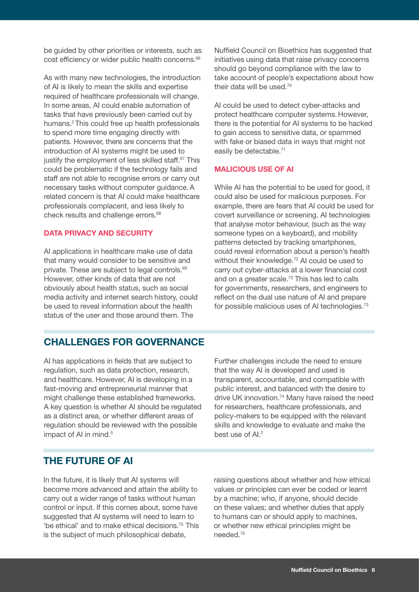be guided by other priorities or interests, such as cost efficiency or wider public health concerns.<sup>66</sup>

As with many new technologies, the introduction of AI is likely to mean the skills and expertise required of healthcare professionals will change. In some areas, AI could enable automation of tasks that have previously been carried out by humans.<sup>2</sup> This could free up health professionals to spend more time engaging directly with patients. However, there are concerns that the introduction of AI systems might be used to justify the employment of less skilled staff.<sup>67</sup> This could be problematic if the technology fails and staff are not able to recognise errors or carry out necessary tasks without computer guidance.A related concern is that AI could make healthcare professionals complacent, and less likely to check results and challenge errors.<sup>68</sup>

### DATA PRIVACY AND SECURITY

AI applications in healthcare make use of data that many would consider to be sensitive and private. These are subject to legal controls.<sup>69</sup> However, other kinds of data that are not obviously about health status, such as social media activity and internet search history, could be used to reveal information about the health status of the user and those around them. The

Nuffield Council on Bioethics has suggested that initiatives using data that raise privacy concerns should go beyond compliance with the law to take account of people's expectations about how their data will be used.70

AI could be used to detect cyber-attacks and protect healthcare computer systems. However, there is the potential for AI systems to be hacked to gain access to sensitive data, or spammed with fake or biased data in ways that might not easily be detectable.<sup>71</sup>

#### MALICIOUS USE OF AI

While AI has the potential to be used for good, it could also be used for malicious purposes. For example, there are fears that AI could be used for covert surveillance or screening. AI technologies that analyse motor behaviour, (such as the way someone types on a keyboard), and mobility patterns detected by tracking smartphones, could reveal information about a person's health without their knowledge.<sup>72</sup> AI could be used to carry out cyber-attacks at a lower financial cost and on a greater scale.73 This has led to calls for governments, researchers, and engineers to reflect on the dual use nature of AI and prepare for possible malicious uses of AI technologies.<sup>73</sup>

# CHALLENGES FOR GOVERNANCE

AI has applications in fields that are subject to regulation, such as data protection, research, and healthcare. However, AI is developing in a fast-moving and entrepreneurial manner that might challenge these established frameworks. A key question is whether AI should be regulated as a distinct area, or whether different areas of regulation should be reviewed with the possible impact of AI in mind.<sup>5</sup>

Further challenges include the need to ensure that the way AI is developed and used is transparent, accountable, and compatible with public interest, and balanced with the desire to drive UK innovation.74 Many have raised the need for researchers, healthcare professionals, and policy-makers to be equipped with the relevant skills and knowledge to evaluate and make the best use of Al.<sup>2</sup>

# THE FUTURE OF AI

In the future, it is likely that AI systems will become more advanced and attain the ability to carry out a wider range of tasks without human control or input. If this comes about, some have suggested that AI systems will need to learn to 'be ethical' and to make ethical decisions.75 This is the subject of much philosophical debate,

raising questions about whether and how ethical values or principles can ever be coded or learnt by a machine; who, if anyone, should decide on these values; and whether duties that apply to humans can or should apply to machines, or whether new ethical principles might be needed.75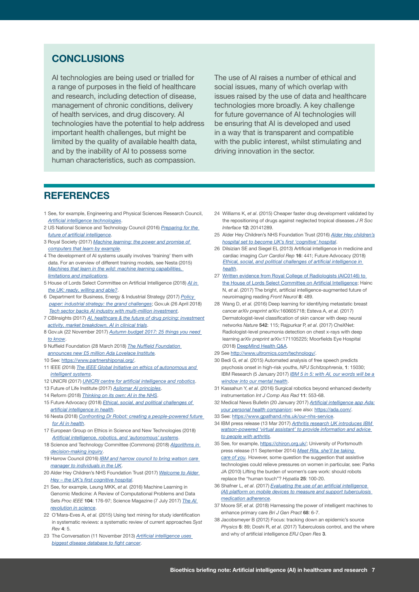# **CONCLUSIONS**

AI technologies are being used or trialled for a range of purposes in the field of healthcare and research, including detection of disease, management of chronic conditions, delivery of health services, and drug discovery. AI technologies have the potential to help address important health challenges, but might be limited by the quality of available health data, and by the inability of AI to possess some human characteristics, such as compassion.

The use of AI raises a number of ethical and social issues, many of which overlap with issues raised by the use of data and healthcare technologies more broadly. A key challenge for future governance of AI technologies will be ensuring that AI is developed and used in a way that is transparent and compatible with the public interest, whilst stimulating and driving innovation in the sector.

# **REFERENCES**

- 1 See, for example, Engineering and Physical Sciences Research Council, [Artificial intelligence technologies](https://www.epsrc.ac.uk/research/ourportfolio/researchareas/ait/)
- 2 US National Science and Technology Council (2016) Preparing for the [future of artificial intelligence](https://obamawhitehouse.archives.gov/sites/default/files/whitehouse_files/microsites/ostp/NSTC/preparing_for_the_future_of_ai.pdf).
- 3 Royal Society (2017) Machine learning: the power and promise of [computers that learn by example](https://royalsociety.org/~/media/policy/projects/machine-learning/publications/machine-learning-report.pdf).
- 4 The development of AI systems usually involves 'training' them with data. For an overview of different training models, see Nesta (2015) [Machines that learn in the wild: machine learning capabilities,](https://www.nesta.org.uk/sites/default/files/machines_that_learn_in_the_wild.pdf)  [limitations and implications](https://www.nesta.org.uk/sites/default/files/machines_that_learn_in_the_wild.pdf).
- 5 House of Lords Select Committee on Artificial Intelligence (2018) [AI in](https://publications.parliament.uk/pa/ld201719/ldselect/ldai/100/100.pdf)  [the UK: ready, willing and able?](https://publications.parliament.uk/pa/ld201719/ldselect/ldai/100/100.pdf).
- 6 Department for Business, Energy & Industrial Strategy (2017) Policy [paper: industrial strategy: the grand challenges](https://www.gov.uk/government/publications/industrial-strategy-the-grand-challenges/industrial-strategy-the-grand-challenges); Gov.uk (26 April 2018) [Tech sector backs AI industry with multi-million investmen](https://www.gov.uk/government/news/tech-sector-backs-british-ai-industry-with-multi-million-pound-investment--2)t.
- 7 CBInsights (2017) AI, healthcare & the future of drug pricing: investment [activity, market breakdown, AI in clinical trials](https://www.cbinsights.com/research/artificial-intelligence-startups-healthcare/).
- 8 Gov.uk (22 November 2017) Autumn budget 2017: 25 things you need [to know](https://www.gov.uk/government/news/autumn-budget-2017-25-things-you-need-to-know).
- 9 Nuffield Foundation (28 March 2018) The Nuffield Foundation [announces new £5 million Ada Lovelace Institute.](http://www.nuffieldfoundation.org/news/nuffield-foundation-announces-new-%C2%A35-million-ada-lovelace-institute-examine-profound-ethical--0)
- 10 See: [https://www.partnershiponai.org/.](https://www.partnershiponai.org/)
- 11 IEEE (2018) The IEEE Global Initiative on ethics of autonomous and [intelligent systems](https://standards.ieee.org/develop/indconn/ec/autonomous_systems.html).
- 12 UNICRI (2017) [UNICRI centre for artificial intelligence and robotics](http://www.unicri.it/in_focus/on/UNICRI_Centre_Artificial_Robotics).
- 13 Future of Life Institute (2017) [Asilomar AI principles](https://futureoflife.org/ai-principles/).
- 14 Reform (2018) [Thinking on its own: AI in the NHS](http://www.reform.uk/wp-content/uploads/2018/01/AI-in-Healthcare-report_.pdf).
- 15 Future Advocacy (2018) Ethical, social, and political challenges of [artificial intelligence in health](https://wellcome.ac.uk/sites/default/files/ai-in-health-ethical-social-political-challenges.pdf).
- 16 Nesta (2018) [Confronting Dr Robot: creating a people-powered future](https://www.nesta.org.uk/publications/confronting-dr-robot)  [for AI in health](https://www.nesta.org.uk/publications/confronting-dr-robot).
- 17 European Group on Ethics in Science and New Technologies (2018) [Artificial intelligence, robotics, and 'autonomous' systems](https://ec.europa.eu/research/ege/pdf/ege_ai_statement_2018.pdf).
- 18 Science and Technology Committee (Commons) (2018) Algorithms in [decision-making inquiry](https://www.parliament.uk/business/committees/committees-a-z/commons-select/science-and-technology-committee/inquiries/parliament-2017/algorithms-in-decision-making-17-19/).
- 19 Harrow Council (2016) IBM and harrow council to bring watson care [manager to individuals in the UK](http://www.harrow.gov.uk/news/article/397/ibm_and_harrow_council_to_bring_watson_care_manager_to_individuals_in_the_uk).
- 20 Alder Hey Children's NHS Foundation Trust (2017) Welcome to Alder [Hey – the UK's first cognitive hospital](http://www.alderhey.nhs.uk/welcome-to-alder-hey-the-uks-first-cognitive-hospital/).
- 21 See, for example, Leung MKK, et al. (2016) Machine Learning in Genomic Medicine: A Review of Computational Problems and Data Sets Proc IEEE 104: 176-97; Science Magazine (7 July 2017) The Al [revolution in science](http://www.sciencemag.org/news/2017/07/ai-revolution-science).
- 22 O'Mara-Eves A, et al. (2015) Using text mining for study identification in systematic reviews: a systematic review of current approaches Syst  $R_{PV}$  4: 5.
- 23 The Conversation (11 November 2013) Artificial intelligence uses [biggest disease database to fight cancer](https://theconversation.com/artificial-intelligence-uses-biggest-disease-database-to-fight-cancer-20050).
- 24 Williams K, et al. (2015) Cheaper faster drug development validated by the repositioning of drugs against neglected tropical diseases J R Soc Interface 12: 20141289.
- 25 Alder Hey Children's NHS Foundation Trust (2016) Alder Hey children's [hospital set to become UK's first 'cognitive' hospital](http://www.alderhey.nhs.uk/alder-hey-childrens-hospital-set-to-become-uks-first-cognitive-hospital/).
- 26 Dilsizian SE and Siegel EL (2013) Artificial intelligence in medicine and cardiac imaging Curr Cardiol Rep 16: 441; Future Advocacy (2018) [Ethical, social, and political challenges of artificial intelligence in](https://wellcome.ac.uk/sites/default/files/ai-in-health-ethical-social-political-challenges.pdf)  [health](https://wellcome.ac.uk/sites/default/files/ai-in-health-ethical-social-political-challenges.pdf).
- 27 [Written evidence from Royal College of Radiologists \(AIC0146\) to](http://data.parliament.uk/writtenevidence/committeeevidence.svc/evidencedocument/artificial-intelligence-committee/artificial-intelligence/written/69651.html)  [the House of Lords Select Committee on Artificial Intelligence;](http://data.parliament.uk/writtenevidence/committeeevidence.svc/evidencedocument/artificial-intelligence-committee/artificial-intelligence/written/69651.html) Hainc N, et al. (2017) The bright, artificial intelligence-augmented future of neuroimaging reading Front Neurol 8: 489.
- 28 Wang D, et al. (2016) Deep learning for identifying metastatic breast cancer arXiv preprint arXiv:160605718; Esteva A, et al. (2017) Dermatologist-level classification of skin cancer with deep neural networks Nature 542: 115; Rajpurkar P, et al. (2017) CheXNet: Radiologist-level pneumonia detection on chest x-rays with deep learning arXiv preprint arXiv:171105225; Moorfields Eye Hospital (2018) [DeepMind Health Q&A](https://www.moorfields.nhs.uk/faq/deepmind-health-qa).
- 29 See<http://www.ultromics.com/technology/>.
- 30 Bedi G, et al. (2015) Automated analysis of free speech predicts psychosis onset in high-risk youths, NPJ Schitzophrenia, 1: 15030; IBM Research (5 January 2017) IBM 5 in 5: with AI, our words will be a [window into our mental health](https://www.ibm.com/blogs/research/2017/1/ibm-5-in-5-our-words-will-be-the-windows-to-our-mental-health/).
- 31 Kassahun Y, et al. (2016) Surgical robotics beyond enhanced dexterity instrumentation Int J Comp Ass Rad 11: 553-68.
- 32 Medical News Bulletin (20 January 2017) Artificial intelligence app Ada: [your personal health companion](https://www.medicalnewsbulletin.com/artificial-intelligence-app-ada-personal-health-companion); see also:<https://ada.com/>.
- 33 See: <https://www.gpathand.nhs.uk/our-nhs-service>.
- 34 IBM press release (13 Mar 2017) Arthritis research UK introduces IBM watson-powered 'virtual assistant' to provide information and advice [to people with arthritis](https://www-03.ibm.com/press/us/en/pressrelease/51826.wss).
- 35 See, for example, [https://chiron.org.uk/;](https://chiron.org.uk/) University of Portsmouth press release (11 September 2014) [Meet Rita, she'll be taking](http://uopnews.port.ac.uk/2014/09/11/meet-rita-shell-be-taking-care-of-you/)  [care of you](http://uopnews.port.ac.uk/2014/09/11/meet-rita-shell-be-taking-care-of-you/). However, some question the suggestion that assistive technologies could relieve pressures on women in particular, see: Parks JA (2010) Lifting the burden of women's care work: should robots replace the "human touch"? Hypatia 25: 100-20.
- 36 Shafner L, et al. (2017) Evaluating the use of an artificial intelligence [\(AI\) platform on mobile devices to measure and support tuberculosis](https://aicure.com/wp-content/uploads/2016/12/Shafner_et_al_Vancouver_Feb_2017.pdf)  [medication adherence](https://aicure.com/wp-content/uploads/2016/12/Shafner_et_al_Vancouver_Feb_2017.pdf).
- 37 Moore SF, et al. (2018) Harnessing the power of intelligent machines to enhance primary care Bri J Gen Pract 68: 6-7.
- 38 Jacobsmeyer B (2012) Focus: tracking down an epidemic's source Physics 5: 89; Doshi R, et al. (2017) Tuberculosis control, and the where and why of artificial intelligence ERJ Open Res 3.